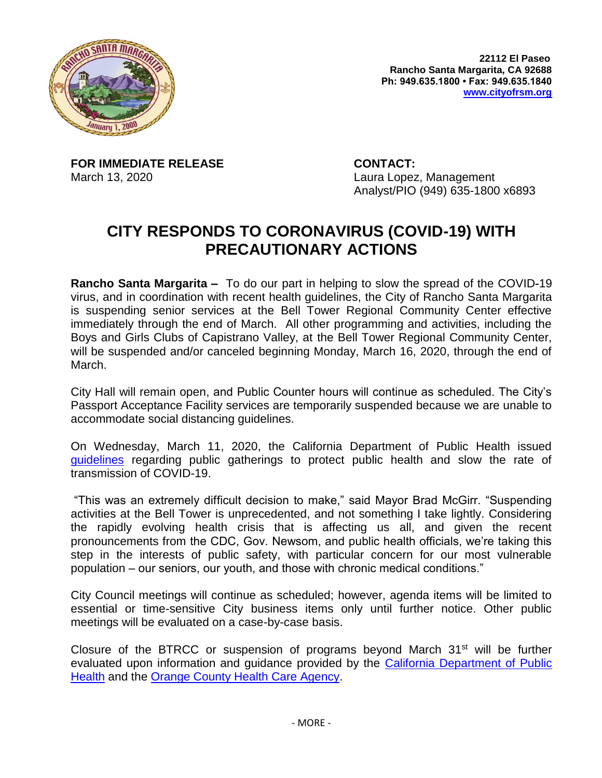

**22112 El Paseo Rancho Santa Margarita, CA 92688 Ph: 949.635.1800 • Fax: 949.635.1840 [www.cityofrsm.org](http://www.cityofrsm.org/)**

**FOR IMMEDIATE RELEASE CONTACT:**

March 13, 2020 Laura Lopez, Management Analyst/PIO (949) 635-1800 x6893

## **CITY RESPONDS TO CORONAVIRUS (COVID-19) WITH PRECAUTIONARY ACTIONS**

**Rancho Santa Margarita –** To do our part in helping to slow the spread of the COVID-19 virus, and in coordination with recent health guidelines, the City of Rancho Santa Margarita is suspending senior services at the Bell Tower Regional Community Center effective immediately through the end of March. All other programming and activities, including the Boys and Girls Clubs of Capistrano Valley, at the Bell Tower Regional Community Center, will be suspended and/or canceled beginning Monday, March 16, 2020, through the end of March.

City Hall will remain open, and Public Counter hours will continue as scheduled. The City's Passport Acceptance Facility services are temporarily suspended because we are unable to accommodate social distancing guidelines.

On Wednesday, March 11, 2020, the California Department of Public Health issued [guidelines](https://www.cdph.ca.gov/Programs/CID/DCDC/CDPH%20Document%20Library/Gathering_Guidance_03.11.20.pdf) regarding public gatherings to protect public health and slow the rate of transmission of COVID-19.

"This was an extremely difficult decision to make," said Mayor Brad McGirr. "Suspending activities at the Bell Tower is unprecedented, and not something I take lightly. Considering the rapidly evolving health crisis that is affecting us all, and given the recent pronouncements from the CDC, Gov. Newsom, and public health officials, we're taking this step in the interests of public safety, with particular concern for our most vulnerable population – our seniors, our youth, and those with chronic medical conditions."

City Council meetings will continue as scheduled; however, agenda items will be limited to essential or time-sensitive City business items only until further notice. Other public meetings will be evaluated on a case-by-case basis.

Closure of the BTRCC or suspension of programs beyond March  $31<sup>st</sup>$  will be further evaluated upon information and guidance provided by the [California Department of Public](https://www.cdph.ca.gov/)  [Health](https://www.cdph.ca.gov/) and the [Orange County Health Care Agency.](http://www.ochealthinfo.com/phs/about/epidasmt/epi/dip/prevention/novel_coronavirus)